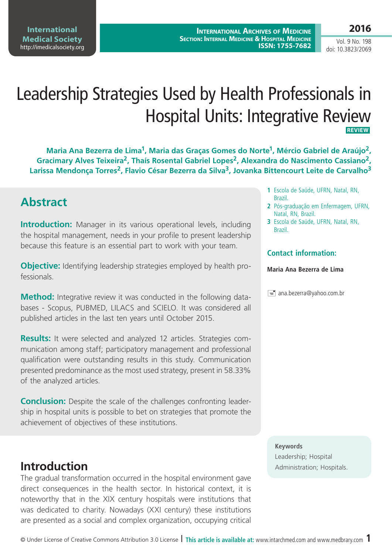**International Medical Society**  <http://imedicalsociety.org>

**International Archives of Medicine SECTION: INTERNAL MEDICINE & HOSPITAL MEDICINE ISSN: 1755-7682**

Vol. 9 No. 198 doi: 10.3823/2069

# Leadership Strategies Used by Health Professionals in Hospital Units: Integrative Review **REVIEW**

**Maria Ana Bezerra de Lima1, Maria das Graças Gomes do Norte1, Mércio Gabriel de Araújo2, Gracimary Alves Teixeira2, Thaís Rosental Gabriel Lopes2, Alexandra do Nascimento Cassiano2, Larissa Mendonça Torres2, Flavio César Bezerra da Silva3, Jovanka Bittencourt Leite de Carvalho3**

# **Abstract**

**Introduction:** Manager in its various operational levels, including the hospital management, needs in your profile to present leadership because this feature is an essential part to work with your team.

**Objective:** Identifying leadership strategies employed by health professionals.

**Method:** Integrative review it was conducted in the following databases - Scopus, PUBMED, LILACS and SCIELO. It was considered all published articles in the last ten years until October 2015.

**Results:** It were selected and analyzed 12 articles. Strategies communication among staff; participatory management and professional qualification were outstanding results in this study. Communication presented predominance as the most used strategy, present in 58.33% of the analyzed articles.

**Conclusion:** Despite the scale of the challenges confronting leadership in hospital units is possible to bet on strategies that promote the achievement of objectives of these institutions.

The gradual transformation occurred in the hospital environment gave direct consequences in the health sector. In historical context, it is noteworthy that in the XIX century hospitals were institutions that was dedicated to charity. Nowadays (XXI century) these institutions are presented as a social and complex organization, occupying critical

- **1** Escola de Saúde, UFRN, Natal, RN, Brazil.
- **2** Pós-graduação em Enfermagem, UFRN, Natal, RN, Brazil.
- **3** Escola de Saúde, UFRN, Natal, RN, Brazil.

### **Contact information:**

#### **Maria Ana Bezerra de Lima**

 $\equiv$  ana.bezerra@yahoo.com.br

#### **Keywords**

Leadership; Hospital **Introduction** Administration; Hospitals.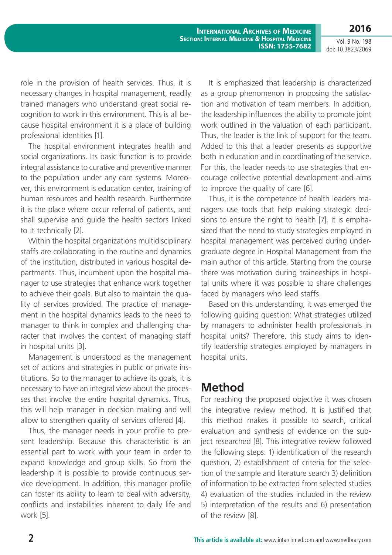**International Archives of Medicine SECTION: INTERNAL MEDICINE & HOSPITAL MEDICINE ISSN: 1755-7682**

Vol. 9 No. 198 doi: 10.3823/2069

**2016**

role in the provision of health services. Thus, it is necessary changes in hospital management, readily trained managers who understand great social recognition to work in this environment. This is all because hospital environment it is a place of building professional identities [1].

The hospital environment integrates health and social organizations. Its basic function is to provide integral assistance to curative and preventive manner to the population under any care systems. Moreover, this environment is education center, training of human resources and health research. Furthermore it is the place where occur referral of patients, and shall supervise and guide the health sectors linked to it technically [2].

Within the hospital organizations multidisciplinary staffs are collaborating in the routine and dynamics of the institution, distributed in various hospital departments. Thus, incumbent upon the hospital manager to use strategies that enhance work together to achieve their goals. But also to maintain the quality of services provided. The practice of management in the hospital dynamics leads to the need to manager to think in complex and challenging character that involves the context of managing staff in hospital units [3].

Management is understood as the management set of actions and strategies in public or private institutions. So to the manager to achieve its goals, it is necessary to have an integral view about the processes that involve the entire hospital dynamics. Thus, this will help manager in decision making and will allow to strengthen quality of services offered [4].

Thus, the manager needs in your profile to present leadership. Because this characteristic is an essential part to work with your team in order to expand knowledge and group skills. So from the leadership it is possible to provide continuous service development. In addition, this manager profile can foster its ability to learn to deal with adversity, conflicts and instabilities inherent to daily life and work [5].

It is emphasized that leadership is characterized as a group phenomenon in proposing the satisfaction and motivation of team members. In addition, the leadership influences the ability to promote joint work outlined in the valuation of each participant. Thus, the leader is the link of support for the team. Added to this that a leader presents as supportive both in education and in coordinating of the service. For this, the leader needs to use strategies that encourage collective potential development and aims to improve the quality of care [6].

Thus, it is the competence of health leaders managers use tools that help making strategic decisions to ensure the right to health [7]. It is emphasized that the need to study strategies employed in hospital management was perceived during undergraduate degree in Hospital Management from the main author of this article. Starting from the course there was motivation during traineeships in hospital units where it was possible to share challenges faced by managers who lead staffs.

Based on this understanding, it was emerged the following guiding question: What strategies utilized by managers to administer health professionals in hospital units? Therefore, this study aims to identify leadership strategies employed by managers in hospital units.

# **Method**

For reaching the proposed objective it was chosen the integrative review method. It is justified that this method makes it possible to search, critical evaluation and synthesis of evidence on the subject researched [8]. This integrative review followed the following steps: 1) identification of the research question, 2) establishment of criteria for the selection of the sample and literature search 3) definition of information to be extracted from selected studies 4) evaluation of the studies included in the review 5) interpretation of the results and 6) presentation of the review [8].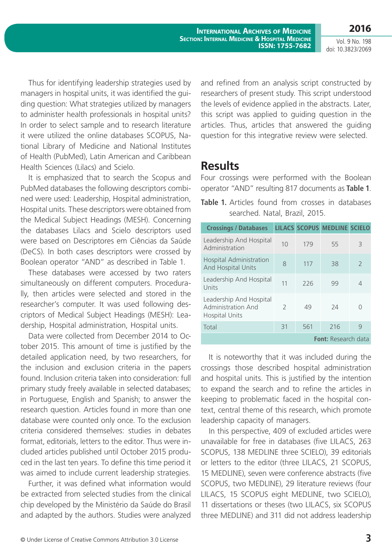**International Archives of Medicine SECTION: INTERNAL MEDICINE & HOSPITAL MEDICINE ISSN: 1755-7682**

Vol. 9 No. 198 doi: 10.3823/2069

**2016**

Thus for identifying leadership strategies used by managers in hospital units, it was identified the guiding question: What strategies utilized by managers to administer health professionals in hospital units? In order to select sample and to research literature it were utilized the online databases SCOPUS, National Library of Medicine and National Institutes of Health (PubMed), Latin American and Caribbean Health Sciences (Lilacs) and Scielo.

It is emphasized that to search the Scopus and PubMed databases the following descriptors combined were used: Leadership, Hospital administration, Hospital units. These descriptors were obtained from the Medical Subject Headings (MESH). Concerning the databases Lilacs and Scielo descriptors used were based on Descriptores em Ciências da Saúde (DeCS). In both cases descriptors were crossed by Boolean operator "AND" as described in Table 1.

These databases were accessed by two raters simultaneously on different computers. Procedurally, then articles were selected and stored in the researcher's computer. It was used following descriptors of Medical Subject Headings (MESH): Leadership, Hospital administration, Hospital units.

Data were collected from December 2014 to October 2015. This amount of time is justified by the detailed application need, by two researchers, for the inclusion and exclusion criteria in the papers found. Inclusion criteria taken into consideration: full primary study freely available in selected databases; in Portuguese, English and Spanish; to answer the research question. Articles found in more than one database were counted only once. To the exclusion criteria considered themselves: studies in debates format, editorials, letters to the editor. Thus were included articles published until October 2015 produced in the last ten years. To define this time period it was aimed to include current leadership strategies.

Further, it was defined what information would be extracted from selected studies from the clinical chip developed by the Ministério da Saúde do Brasil and adapted by the authors. Studies were analyzed and refined from an analysis script constructed by researchers of present study. This script understood the levels of evidence applied in the abstracts. Later, this script was applied to guiding question in the articles. Thus, articles that answered the guiding question for this integrative review were selected.

## **Results**

Four crossings were performed with the Boolean operator "AND" resulting 817 documents as **Table 1**.

|                                |  |  |  |  |  | Table 1. Articles found from crosses in databases |
|--------------------------------|--|--|--|--|--|---------------------------------------------------|
| searched. Natal, Brazil, 2015. |  |  |  |  |  |                                                   |

| <b>Crossings / Databases</b>                                                  |               |     | <b>LILACS SCOPUS MEDLINE SCIELO</b> |               |
|-------------------------------------------------------------------------------|---------------|-----|-------------------------------------|---------------|
| Leadership And Hospital<br>Administration                                     | 10            | 179 | 55                                  | 3             |
| <b>Hospital Administration</b><br><b>And Hospital Units</b>                   | 8             | 117 | 38                                  | $\mathcal{P}$ |
| Leadership And Hospital<br>Units                                              | 11            | 226 | 99                                  | 4             |
| Leadership And Hospital<br><b>Administration And</b><br><b>Hospital Units</b> | $\mathcal{L}$ | 49  | 74                                  | Ω             |
| Total                                                                         | 31            | 561 | 216                                 | 9             |
|                                                                               |               |     | <b>Font:</b> Research data          |               |

It is noteworthy that it was included during the crossings those described hospital administration and hospital units. This is justified by the intention to expand the search and to refine the articles in keeping to problematic faced in the hospital context, central theme of this research, which promote leadership capacity of managers.

In this perspective, 409 of excluded articles were unavailable for free in databases (five LILACS, 263 SCOPUS, 138 MEDLINE three SCIELO), 39 editorials or letters to the editor (three LILACS, 21 SCOPUS, 15 MEDLINE), seven were conference abstracts (five SCOPUS, two MEDLINE), 29 literature reviews (four LILACS, 15 SCOPUS eight MEDLINE, two SCIELO), 11 dissertations or theses (two LILACS, six SCOPUS three MEDLINE) and 311 did not address leadership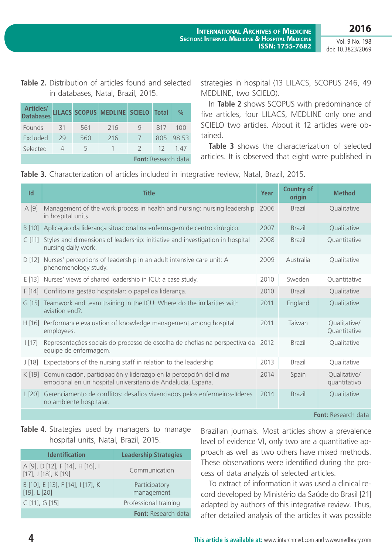Vol. 9 No. 198 doi: 10.3823/2069

**2016**

## **Table 2.** Distribution of articles found and selected in databases, Natal, Brazil, 2015.

**Databases LILACS SCOPUS MEDLINE SCIELO Total %**

Founds 31 561 216 9 817 100 Excluded 29 560 216 7 805 98.53 Selected 4 5 1 2 12 1.47

**Articles/**

strategies in hospital (13 LILACS, SCOPUS 246, 49 MEDLINE, two SCIELO).

In **Table 2** shows SCOPUS with predominance of five articles, four LILACS, MEDLINE only one and SCIELO two articles. About it 12 articles were obtained.

**Table 3** shows the characterization of selected articles. It is observed that eight were published in

| Table 3. Characterization of articles included in integrative review, Natal, Brazil, 2015. |  |
|--------------------------------------------------------------------------------------------|--|
|--------------------------------------------------------------------------------------------|--|

**Font:** Research data

| Id       | <b>Title</b>                                                                                                                       | Year | <b>Country of</b><br>origin | <b>Method</b>                |
|----------|------------------------------------------------------------------------------------------------------------------------------------|------|-----------------------------|------------------------------|
| A[9]     | Management of the work process in health and nursing: nursing leadership<br>in hospital units.                                     | 2006 | <b>Brazil</b>               | Qualitative                  |
| B [10]   | Aplicação da liderança situacional na enfermagem de centro cirúrgico.                                                              | 2007 | <b>Brazil</b>               | Qualitative                  |
| $C$ [11] | Styles and dimensions of leadership: initiative and investigation in hospital<br>nursing daily work.                               | 2008 | <b>Brazil</b>               | Quantitative                 |
| D[12]    | Nurses' perceptions of leadership in an adult intensive care unit: A<br>phenomenology study.                                       | 2009 | Australia                   | Qualitative                  |
| E[13]    | Nurses' views of shared leadership in ICU: a case study.                                                                           | 2010 | Sweden                      | Quantitative                 |
| F[14]    | Conflito na gestão hospitalar: o papel da liderança.                                                                               | 2010 | <b>Brazil</b>               | Qualitative                  |
|          | G [15] Teamwork and team training in the ICU: Where do the imilarities with<br>aviation end?.                                      | 2011 | England                     | Qualitative                  |
| H[16]    | Performance evaluation of knowledge management among hospital<br>employees.                                                        | 2011 | Taiwan                      | Qualitative/<br>Quantitative |
| [17]     | Representações sociais do processo de escolha de chefias na perspectiva da<br>equipe de enfermagem.                                | 2012 | <b>Brazil</b>               | Qualitative                  |
| J[18]    | Expectations of the nursing staff in relation to the leadership                                                                    | 2013 | <b>Brazil</b>               | Qualitative                  |
| K [19]   | Comunicación, participación y liderazgo en la percepción del clima<br>emocional en un hospital universitario de Andalucía, España. | 2014 | Spain                       | Qualitativo/<br>quantitativo |
| $L$ [20] | Gerenciamento de conflitos: desafios vivenciados pelos enfermeiros-líderes<br>no ambiente hospitalar.                              | 2014 | <b>Brazil</b>               | Qualitative                  |
|          |                                                                                                                                    |      |                             | <b>Font:</b> Research data   |

## Table 4. Strategies used by managers to manage hospital units, Natal, Brazil, 2015.

| <b>Identification</b>                                            | <b>Leadership Strategies</b> |
|------------------------------------------------------------------|------------------------------|
| A [9], D [12], F [14], H [16], I<br>$[17]$ , J $[18]$ , K $[19]$ | Communication                |
| B [10], E [13], F [14], I [17], K<br>$[19]$ , L $[20]$           | Participatory<br>management  |
| C [11], G [15]                                                   | Professional training        |
|                                                                  | <b>Font:</b> Research data   |

Brazilian journals. Most articles show a prevalence level of evidence VI, only two are a quantitative approach as well as two others have mixed methods. These observations were identified during the process of data analyzis of selected articles.

To extract of information it was used a clinical record developed by Ministério da Saúde do Brasil [21] adapted by authors of this integrative review. Thus, after detailed analysis of the articles it was possible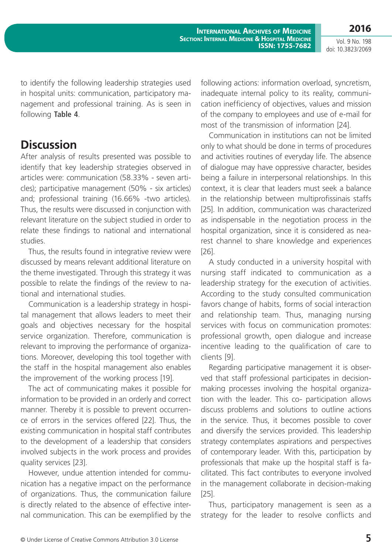**2016**

Vol. 9 No. 198 doi: 10.3823/2069

to identify the following leadership strategies used in hospital units: communication, participatory management and professional training. As is seen in following **Table 4**.

# **Discussion**

After analysis of results presented was possible to identify that key leadership strategies observed in articles were: communication (58.33% - seven articles); participative management (50% - six articles) and; professional training (16.66% -two articles). Thus, the results were discussed in conjunction with relevant literature on the subject studied in order to relate these findings to national and international studies.

Thus, the results found in integrative review were discussed by means relevant additional literature on the theme investigated. Through this strategy it was possible to relate the findings of the review to national and international studies.

Communication is a leadership strategy in hospital management that allows leaders to meet their goals and objectives necessary for the hospital service organization. Therefore, communication is relevant to improving the performance of organizations. Moreover, developing this tool together with the staff in the hospital management also enables the improvement of the working process [19].

The act of communicating makes it possible for information to be provided in an orderly and correct manner. Thereby it is possible to prevent occurrence of errors in the services offered [22]. Thus, the existing communication in hospital staff contributes to the development of a leadership that considers involved subjects in the work process and provides quality services [23].

However, undue attention intended for communication has a negative impact on the performance of organizations. Thus, the communication failure is directly related to the absence of effective internal communication. This can be exemplified by the following actions: information overload, syncretism, inadequate internal policy to its reality, communication inefficiency of objectives, values and mission of the company to employees and use of e-mail for most of the transmission of information [24].

Communication in institutions can not be limited only to what should be done in terms of procedures and activities routines of everyday life. The absence of dialogue may have oppressive character, besides being a failure in interpersonal relationships. In this context, it is clear that leaders must seek a balance in the relationship between multiprofissinais staffs [25]. In addition, communication was characterized as indispensable in the negotiation process in the hospital organization, since it is considered as nearest channel to share knowledge and experiences [26].

A study conducted in a university hospital with nursing staff indicated to communication as a leadership strategy for the execution of activities. According to the study consulted communication favors change of habits, forms of social interaction and relationship team. Thus, managing nursing services with focus on communication promotes: professional growth, open dialogue and increase incentive leading to the qualification of care to clients [9].

Regarding participative management it is observed that staff professional participates in decisionmaking processes involving the hospital organization with the leader. This co- participation allows discuss problems and solutions to outline actions in the service. Thus, it becomes possible to cover and diversify the services provided. This leadership strategy contemplates aspirations and perspectives of contemporary leader. With this, participation by professionals that make up the hospital staff is facilitated. This fact contributes to everyone involved in the management collaborate in decision-making [25].

Thus, participatory management is seen as a strategy for the leader to resolve conflicts and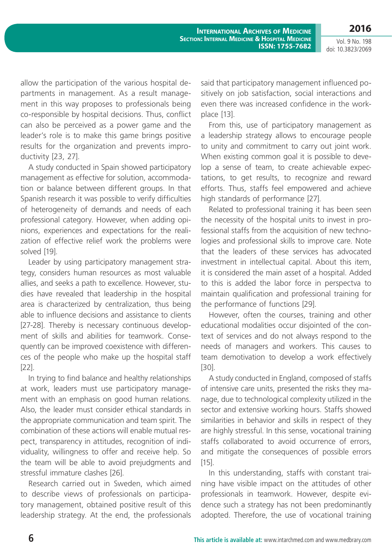Vol. 9 No. 198 doi: 10.3823/2069

**2016**

allow the participation of the various hospital departments in management. As a result management in this way proposes to professionals being co-responsible by hospital decisions. Thus, conflict can also be perceived as a power game and the leader's role is to make this game brings positive results for the organization and prevents improductivity [23, 27].

A study conducted in Spain showed participatory management as effective for solution, accommodation or balance between different groups. In that Spanish research it was possible to verify difficulties of heterogeneity of demands and needs of each professional category. However, when adding opinions, experiences and expectations for the realization of effective relief work the problems were solved [19].

Leader by using participatory management strategy, considers human resources as most valuable allies, and seeks a path to excellence. However, studies have revealed that leadership in the hospital area is characterized by centralization, thus being able to influence decisions and assistance to clients [27-28]. Thereby is necessary continuous development of skills and abilities for teamwork. Consequently can be improved coexistence with differences of the people who make up the hospital staff [22].

In trying to find balance and healthy relationships at work, leaders must use participatory management with an emphasis on good human relations. Also, the leader must consider ethical standards in the appropriate communication and team spirit. The combination of these actions will enable mutual respect, transparency in attitudes, recognition of individuality, willingness to offer and receive help. So the team will be able to avoid prejudgments and stressful immature clashes [26].

Research carried out in Sweden, which aimed to describe views of professionals on participatory management, obtained positive result of this leadership strategy. At the end, the professionals said that participatory management influenced positively on job satisfaction, social interactions and even there was increased confidence in the workplace [13].

From this, use of participatory management as a leadership strategy allows to encourage people to unity and commitment to carry out joint work. When existing common goal it is possible to develop a sense of team, to create achievable expectations, to get results, to recognize and reward efforts. Thus, staffs feel empowered and achieve high standards of performance [27].

Related to professional training it has been seen the necessity of the hospital units to invest in professional staffs from the acquisition of new technologies and professional skills to improve care. Note that the leaders of these services has advocated investment in intellectual capital. About this item, it is considered the main asset of a hospital. Added to this is added the labor force in perspectva to maintain qualification and professional training for the performance of functions [29].

However, often the courses, training and other educational modalities occur disjointed of the context of services and do not always respond to the needs of managers and workers. This causes to team demotivation to develop a work effectively [30].

A study conducted in England, composed of staffs of intensive care units, presented the risks they manage, due to technological complexity utilized in the sector and extensive working hours. Staffs showed similarities in behavior and skills in respect of they are highly stressful. In this sense, vocational training staffs collaborated to avoid occurrence of errors, and mitigate the consequences of possible errors [15].

In this understanding, staffs with constant training have visible impact on the attitudes of other professionals in teamwork. However, despite evidence such a strategy has not been predominantly adopted. Therefore, the use of vocational training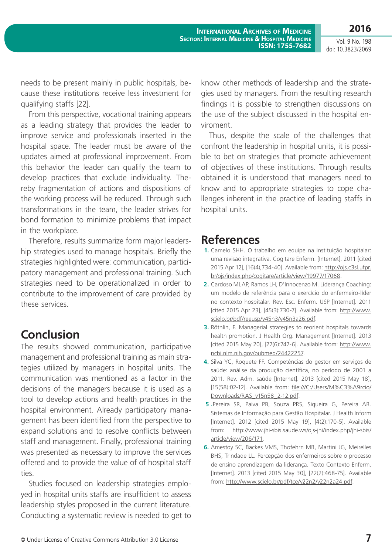**2016** Vol. 9 No. 198

doi: 10.3823/2069

needs to be present mainly in public hospitals, because these institutions receive less investment for qualifying staffs [22].

From this perspective, vocational training appears as a leading strategy that provides the leader to improve service and professionals inserted in the hospital space. The leader must be aware of the updates aimed at professional improvement. From this behavior the leader can qualify the team to develop practices that exclude individuality. Thereby fragmentation of actions and dispositions of the working process will be reduced. Through such transformations in the team, the leader strives for bond formation to minimize problems that impact in the workplace.

Therefore, results summarize form major leadership strategies used to manage hospitals. Briefly the strategies highlighted were: communication, participatory management and professional training. Such strategies need to be operationalized in order to contribute to the improvement of care provided by these services.

# **Conclusion**

The results showed communication, participative management and professional training as main strategies utilized by managers in hospital units. The communication was mentioned as a factor in the decisions of the managers because it is used as a tool to develop actions and health practices in the hospital environment. Already participatory management has been identified from the perspective to expand solutions and to resolve conflicts between staff and management. Finally, professional training was presented as necessary to improve the services offered and to provide the value of of hospital staff ties.

Studies focused on leadership strategies employed in hospital units staffs are insufficient to assess leadership styles proposed in the current literature. Conducting a systematic review is needed to get to

know other methods of leadership and the strategies used by managers. From the resulting research findings it is possible to strengthen discussions on the use of the subject discussed in the hospital enviroment.

Thus, despite the scale of the challenges that confront the leadership in hospital units, it is possible to bet on strategies that promote achievement of objectives of these institutions. Through results obtained it is understood that managers need to know and to appropriate strategies to cope challenges inherent in the practice of leading staffs in hospital units.

# **References**

- **1.** Camelo SHH. O trabalho em equipe na instituição hospitalar: uma revisão integrativa. Cogitare Enferm. [Internet]. 2011 [cited 2015 Apr 12], [16(4),734-40]. Available from: [http://ojs.c3sl.ufpr.](http://ojs.c3sl.ufpr.br/ojs/index.php/cogitare/article/view/19977/17068) [br/ojs/index.php/cogitare/article/view/19977/17068.](http://ojs.c3sl.ufpr.br/ojs/index.php/cogitare/article/view/19977/17068)
- **2.** Cardoso MLAP, Ramos LH, D'Innocenzo M. Liderança Coaching: um modelo de referência para o exercício do enfermeiro-líder no contexto hospitalar. Rev. Esc. Enferm. USP [Internet]. 2011 [cited 2015 Apr 23], [45(3):730-7]. Available from: [http://www.](http://www.scielo.br/pdf/reeusp/v45n3/v45n3a26.pdf) [scielo.br/pdf/reeusp/v45n3/v45n3a26.pdf.](http://www.scielo.br/pdf/reeusp/v45n3/v45n3a26.pdf)
- **3.** Röthlin, F. Managerial strategies to reorient hospitals towards health promotion. J Health Org. Management [Internet]. 2013 [cited 2015 May 20], [27(6):747-6]. Available from: [http://www.](http://www.ncbi.nlm.nih.gov/pubmed/24422257) [ncbi.nlm.nih.gov/pubmed/24422257.](http://www.ncbi.nlm.nih.gov/pubmed/24422257)
- **4.** Silva YC, Roquete FF. Competências do gestor em serviços de saúde: análise da produção científica, no período de 2001 a 2011. Rev. Adm. saúde [Internet]. 2013 [cited 2015 May 18], [15(58):02-12]. Available from: [file:///C:/Users/M%C3%A9rcio/](file:///C:/Users/M%C3%A9rcio/Downloads/RAS_v15n58_2-12.pdf) [Downloads/RAS\\_v15n58\\_2-12.pdf](file:///C:/Users/M%C3%A9rcio/Downloads/RAS_v15n58_2-12.pdf).
- **5 .**Pereira SR, Paiva PB, Souza PRS, Siqueira G, Pereira AR. Sistemas de Informação para Gestão Hospitalar. J Health Inform [Internet]. 2012 [cited 2015 May 19], [4(2):170-5]. Available from: [http://www.jhi-sbis.saude.ws/ojs-jhi/index.php/jhi-sbis/](http://www.jhi-sbis.saude.ws/ojs-jhi/index.php/jhi-sbis/article/view/206/171) [article/view/206/171.](http://www.jhi-sbis.saude.ws/ojs-jhi/index.php/jhi-sbis/article/view/206/171)
- **6.** Amestoy SC, Backes VMS, Thofehrn MB, Martini JG, Meirelles BHS, Trindade LL. Percepção dos enfermeiros sobre o processo de ensino aprendizagem da liderança. Texto Contexto Enferm. [Internet]. 2013 [cited 2015 May 30], [22(2):468-75]. Available from: <http://www.scielo.br/pdf/tce/v22n2/v22n2a24.pdf>.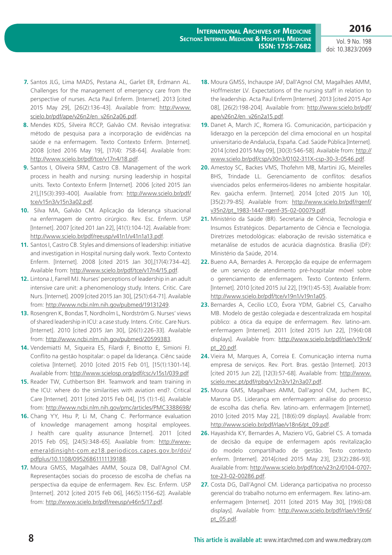Vol. 9 No. 198 doi: 10.3823/2069

- **7.** Santos JLG, Lima MADS, Pestana AL, Garlet ER, Erdmann AL. Challenges for the management of emergency care from the perspective of nurses. Acta Paul Enferm. [Internet]. 2013 [cited 2015 May 29], [26(2):136-43]. Available from: [http://www.](http://www.scielo.br/pdf/ape/v26n2/en_v26n2a06.pdf) [scielo.br/pdf/ape/v26n2/en\\_v26n2a06.pdf.](http://www.scielo.br/pdf/ape/v26n2/en_v26n2a06.pdf)
- **8.** Mendes KDS, Silveira RCCP, Galvão CM. Revisão integrativa: método de pesquisa para a incorporação de evidências na saúde e na enfermagem. Texto Contexto Enferm. [Internet]. 2008 [cited 2016 May 19], [17(4): 758-64]. Available from: <http://www.scielo.br/pdf/tce/v17n4/18.pdf>.
- **9.** Santos I, Oliveira SRM, Castro CB. Management of the work process in health and nursing: nursing leadership in hospital units. Texto Contexto Enferm [Internet]. 2006 [cited 2015 Jan 21],[15(3):393-400]. Available from: [http://www.scielo.br/pdf/](http://www.scielo.br/pdf/tce/v15n3/v15n3a02.pdf) [tce/v15n3/v15n3a02.pdf](http://www.scielo.br/pdf/tce/v15n3/v15n3a02.pdf).
- **10.** Silva MA, Galvão CM. Aplicação da liderança situacional na enfermagem de centro cirúrgico. Rev. Esc. Enferm. USP [Internet]. 2007 [cited 201 Jan 22], [41(1):104-12]. Available from: <http://www.scielo.br/pdf/reeusp/v41n1/v41n1a13.pdf>.
- **11.** Santos I, Castro CB. Styles and dimensions of leadership: initiative and investigation in Hospital nursing daily work. Texto Contexto Enferm. [Internet]. 2008 [cited 2015 Jan 30],[17(4):734-42]. Available from:<http://www.scielo.br/pdf/tce/v17n4/15.pdf>.
- **12.** Lintona J, Farrell MJ. Nurses' perceptions of leadership in an adult intensive care unit: a phenomenology study. Intens. Critic. Care Nurs. [Internet]. 2009 [cited 2015 Jan 30], [25(1):64-71]. Available from: [http://www.ncbi.nlm.nih.gov/pubmed/19131249.](http://www.ncbi.nlm.nih.gov/pubmed/19131249)
- **13.** Rosengren K, Bondas T, Nordholm L, Nordström G. Nurses' views of shared leadership in ICU: a case study. Intens. Critic. Care Nurs. [Internet]. 2010 [cited 2015 Jan 30], [26(1):226-33]. Available from: [http://www.ncbi.nlm.nih.gov/pubmed/20599383.](http://www.ncbi.nlm.nih.gov/pubmed/20599383)
- **14.** Vendemiatti M, Siqueira ES, Filardi F, Binotto E, Simioni FJ. Conflito na gestão hospitalar: o papel da liderança. Ciênc saúde coletiva [Internet]. 2010 [cited 2015 Feb 01], [15(1):1301-14]. Available from:<http://www.scielosp.org/pdf/csc/v15s1/039.pdf>
- **15.** Reader TW, Cuthbertson BH. Teamwork and team training in the ICU: where do the similarities with aviation end?. Critical Care [Internet]. 2011 [cited 2015 Feb 04], [15 (1):1-6]. Available from:<http://www.ncbi.nlm.nih.gov/pmc/articles/PMC3388698/>
- **16.** Chang YY, Hsu P, Li M, Chang C. Performance evaluation of knowledge management among hospital employees. J health care quality assunance [Internet]. 2011 [cited 2015 Feb 05], [24(5):348-65]. Available from: [http://www](http://www-emeraldinsight-com.ez18.periodicos.capes.gov.br/doi/pdfplus/10.1108/09526861111139188)[emeraldinsight-com.ez18.periodicos.capes.gov.br/doi/](http://www-emeraldinsight-com.ez18.periodicos.capes.gov.br/doi/pdfplus/10.1108/09526861111139188) [pdfplus/10.1108/09526861111139188](http://www-emeraldinsight-com.ez18.periodicos.capes.gov.br/doi/pdfplus/10.1108/09526861111139188).
- **17.** Moura GMSS, Magalhães AMM, Souza DB, Dall'Agnol CM. Representações sociais do processo de escolha de chefias na perspectiva da equipe de enfermagem. Rev. Esc. Enferm. USP [Internet]. 2012 [cited 2015 Feb 06], [46(5):1156-62]. Available from:<http://www.scielo.br/pdf/reeusp/v46n5/17.pdf>.
- **18.** Moura GMSS, Inchauspe JAF, Dall'Agnol CM, Magalhães AMM, Hoffmeister LV. Expectations of the nursing staff in relation to the leadership. Acta Paul Enferm [Internet]. 2013 [cited 2015 Apr 08], [26(2):198-204]. Available from: [http://www.scielo.br/pdf/](http://www.scielo.br/pdf/ape/v26n2/en_v26n2a15.pdf) [ape/v26n2/en\\_v26n2a15.pdf.](http://www.scielo.br/pdf/ape/v26n2/en_v26n2a15.pdf)
- **19.** Danet A, March JC, Romera IG. Comunicación, participación y liderazgo en la percepción del clima emocional en un hospital universitario de Andalucía, España. Cad. Saúde Pública [Internet]. 2014 [cited 2015 May 09], [30(3):546-58]. Available from: [http://](http://www.scielo.br/pdf/csp/v30n3/0102-311X-csp-30-3-0546.pdf) [www.scielo.br/pdf/csp/v30n3/0102-311X-csp-30-3-0546.pdf](http://www.scielo.br/pdf/csp/v30n3/0102-311X-csp-30-3-0546.pdf).
- **20.** Amestoy SC, Backes VMS, Thofehrn MB, Martini JG, Meirelles BHS, Trindade LL. Gerenciamento de conflitos: desafios vivenciados pelos enfermeiros-líderes no ambiente hospitalar. Rev. gaúcha enferm. [Internet]. 2014 [cited 2015 Jun 10], [35(2):79-85]. Available from: [http://www.scielo.br/pdf/rgenf/](http://www.scielo.br/pdf/rgenf/v35n2/pt_1983-1447-rgenf-35-02-00079.pdf) [v35n2/pt\\_1983-1447-rgenf-35-02-00079.pdf](http://www.scielo.br/pdf/rgenf/v35n2/pt_1983-1447-rgenf-35-02-00079.pdf).
- **21.** Ministério da Saúde (BR). Secretaria de Ciência, Tecnologia e Insumos Estratégicos. Departamento de Ciência e Tecnologia. Diretrizes metodológicas: elaboração de revisão sistemática e metanálise de estudos de acurácia diagnóstica. Brasília (DF): Ministério da Saúde, 2014.
- **22.** Bueno AA, Bernardes A. Percepção da equipe de enfermagem de um serviço de atendimento pré-hospitalar móvel sobre o gerenciamento de enfermagem. Texto Contexto Enferm. [Internet]. 2010 [cited 2015 Jul 22], [19(1):45-53]. Available from: <http://www.scielo.br/pdf/tce/v19n1/v19n1a05>.
- **23.** Bernardes A, Cecilio LCO, Évora YDM, Gabriel CS, Carvalho MB. Modelo de gestão colegiada e descentralizada em hospital público: a ótica da equipe de enfermagem. Rev. latino-am. enfermagem [Internet]. 2011 [cited 2015 Jun 22], [19(4):08 displays]. Available from: [http://www.scielo.br/pdf/rlae/v19n4/](http://www.scielo.br/pdf/rlae/v19n4/pt_20.pdf) [pt\\_20.pdf](http://www.scielo.br/pdf/rlae/v19n4/pt_20.pdf).
- **24.** Vieira M, Marques A, Correia E. Comunicação interna numa empresa de serviços. Rev. Port. Bras. gestão [Internet]. 2013 [cited 2015 Jun 22], [12(3):57-68]. Available from: [http://www.](http://www.scielo.mec.pt/pdf/rpbg/v12n3/v12n3a07.pdf) [scielo.mec.pt/pdf/rpbg/v12n3/v12n3a07.pdf.](http://www.scielo.mec.pt/pdf/rpbg/v12n3/v12n3a07.pdf)
- **25.** Moura GMS, Magalhaes AMM, Dall'agnol CM, Juchem BC, Marona DS. Liderança em enfermagem: análise do processo de escolha das chefia. Rev. latino-am. enfermagem [Internet]. 2010 [cited 2015 May 22], [18(6):09 displays]. Available from: [http://www.scielo.br/pdf/rlae/v18n6/pt\\_09.pdf](http://www.scielo.br/pdf/rlae/v18n6/pt_09.pdf).
- **26.** Hayashida KY, Bernardes A, Maziero VG, Gabriel CS. A tomada de decisão da equipe de enfermagem após revitalização do modelo compartilhado de gestão. Texto contexto enferm. [Internet]. 2014[cited 2015 May 23], [23(2):286-93]. Available from: [http://www.scielo.br/pdf/tce/v23n2/0104-0707](http://www.scielo.br/pdf/tce/v23n2/0104-0707-tce-23-02-00286.pdf) [tce-23-02-00286.pdf.](http://www.scielo.br/pdf/tce/v23n2/0104-0707-tce-23-02-00286.pdf)
- **27.** Costa DG, Dall'Agnol CM. Liderança participativa no processo gerencial do trabalho noturno em enfermagem. Rev. latino-am. enfermagem [Internet]. 2011 [cited 2015 May 30], [19(6):08 displays]. Available from: [http://www.scielo.br/pdf/rlae/v19n6/](http://www.scielo.br/pdf/rlae/v19n6/pt_05.pdf) [pt\\_05.pdf.](http://www.scielo.br/pdf/rlae/v19n6/pt_05.pdf)